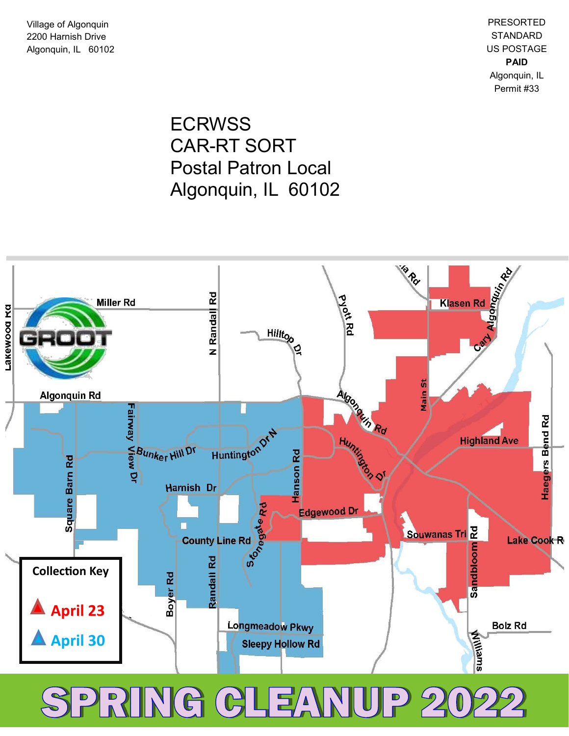Village of Algonquin 2200 Harnish Drive Algonquin, IL 60102

PRESORTED **STANDARD** US POSTAGE **PAID** Algonquin, IL Permit #33

ECRWSS CAR -RT SORT Postal Patron Local Algonquin, IL 60102



SPRING CLEANUP 202